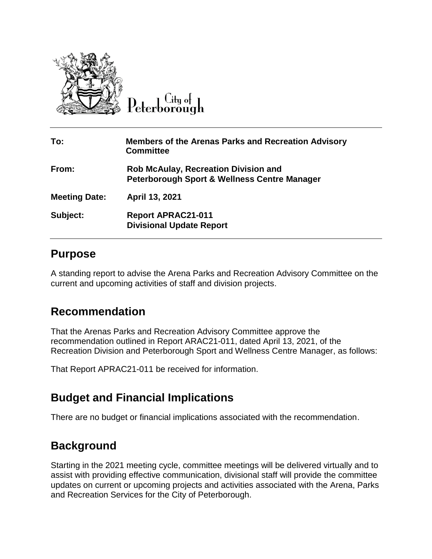

City of

| To:                  | <b>Members of the Arenas Parks and Recreation Advisory</b><br><b>Committee</b>                         |
|----------------------|--------------------------------------------------------------------------------------------------------|
| From:                | <b>Rob McAulay, Recreation Division and</b><br><b>Peterborough Sport &amp; Wellness Centre Manager</b> |
| <b>Meeting Date:</b> | April 13, 2021                                                                                         |
| Subject:             | <b>Report APRAC21-011</b><br><b>Divisional Update Report</b>                                           |

# **Purpose**

A standing report to advise the Arena Parks and Recreation Advisory Committee on the current and upcoming activities of staff and division projects.

# **Recommendation**

That the Arenas Parks and Recreation Advisory Committee approve the recommendation outlined in Report ARAC21-011, dated April 13, 2021, of the Recreation Division and Peterborough Sport and Wellness Centre Manager, as follows:

That Report APRAC21-011 be received for information.

# **Budget and Financial Implications**

There are no budget or financial implications associated with the recommendation.

# **Background**

Starting in the 2021 meeting cycle, committee meetings will be delivered virtually and to assist with providing effective communication, divisional staff will provide the committee updates on current or upcoming projects and activities associated with the Arena, Parks and Recreation Services for the City of Peterborough.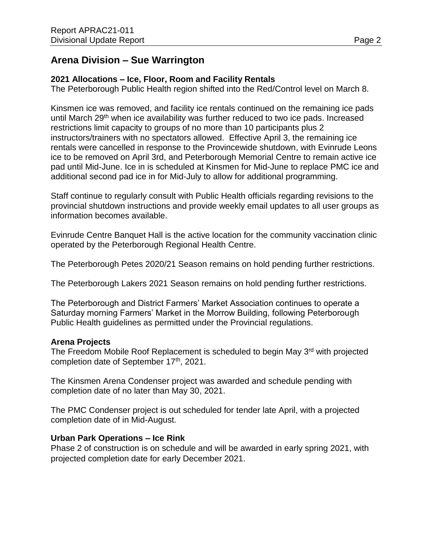# **Arena Division – Sue Warrington**

### **2021 Allocations – Ice, Floor, Room and Facility Rentals**

The Peterborough Public Health region shifted into the Red/Control level on March 8.

Kinsmen ice was removed, and facility ice rentals continued on the remaining ice pads until March 29<sup>th</sup> when ice availability was further reduced to two ice pads. Increased restrictions limit capacity to groups of no more than 10 participants plus 2 instructors/trainers with no spectators allowed. Effective April 3, the remaining ice rentals were cancelled in response to the Provincewide shutdown, with Evinrude Leons ice to be removed on April 3rd, and Peterborough Memorial Centre to remain active ice pad until Mid-June. Ice in is scheduled at Kinsmen for Mid-June to replace PMC ice and additional second pad ice in for Mid-July to allow for additional programming.

Staff continue to regularly consult with Public Health officials regarding revisions to the provincial shutdown instructions and provide weekly email updates to all user groups as information becomes available.

Evinrude Centre Banquet Hall is the active location for the community vaccination clinic operated by the Peterborough Regional Health Centre.

The Peterborough Petes 2020/21 Season remains on hold pending further restrictions.

The Peterborough Lakers 2021 Season remains on hold pending further restrictions.

The Peterborough and District Farmers' Market Association continues to operate a Saturday morning Farmers' Market in the Morrow Building, following Peterborough Public Health guidelines as permitted under the Provincial regulations.

### **Arena Projects**

The Freedom Mobile Roof Replacement is scheduled to begin May 3<sup>rd</sup> with projected completion date of September 17<sup>th</sup>, 2021.

The Kinsmen Arena Condenser project was awarded and schedule pending with completion date of no later than May 30, 2021.

The PMC Condenser project is out scheduled for tender late April, with a projected completion date of in Mid-August.

### **Urban Park Operations – Ice Rink**

Phase 2 of construction is on schedule and will be awarded in early spring 2021, with projected completion date for early December 2021.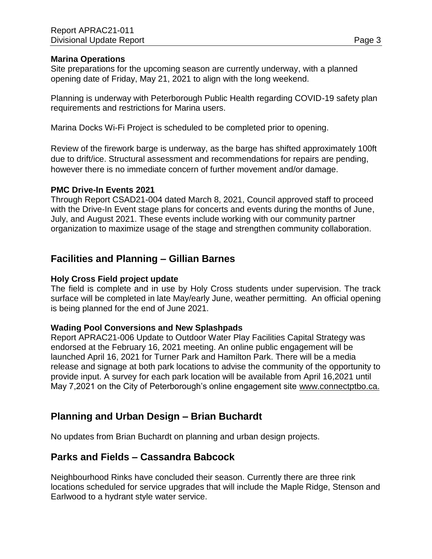#### **Marina Operations**

Site preparations for the upcoming season are currently underway, with a planned opening date of Friday, May 21, 2021 to align with the long weekend.

Planning is underway with Peterborough Public Health regarding COVID-19 safety plan requirements and restrictions for Marina users.

Marina Docks Wi-Fi Project is scheduled to be completed prior to opening.

Review of the firework barge is underway, as the barge has shifted approximately 100ft due to drift/ice. Structural assessment and recommendations for repairs are pending, however there is no immediate concern of further movement and/or damage.

#### **PMC Drive-In Events 2021**

Through Report CSAD21-004 dated March 8, 2021, Council approved staff to proceed with the Drive-In Event stage plans for concerts and events during the months of June, July, and August 2021. These events include working with our community partner organization to maximize usage of the stage and strengthen community collaboration.

### **Facilities and Planning – Gillian Barnes**

#### **Holy Cross Field project update**

The field is complete and in use by Holy Cross students under supervision. The track surface will be completed in late May/early June, weather permitting. An official opening is being planned for the end of June 2021.

#### **Wading Pool Conversions and New Splashpads**

Report APRAC21-006 Update to Outdoor Water Play Facilities Capital Strategy was endorsed at the February 16, 2021 meeting. An online public engagement will be launched April 16, 2021 for Turner Park and Hamilton Park. There will be a media release and signage at both park locations to advise the community of the opportunity to provide input. A survey for each park location will be available from April 16,2021 until May 7,2021 on the City of Peterborough's online engagement site [www.connectptbo.ca.](http://www.connectptbo.ca/)

### **Planning and Urban Design – Brian Buchardt**

No updates from Brian Buchardt on planning and urban design projects.

### **Parks and Fields – Cassandra Babcock**

Neighbourhood Rinks have concluded their season. Currently there are three rink locations scheduled for service upgrades that will include the Maple Ridge, Stenson and Earlwood to a hydrant style water service.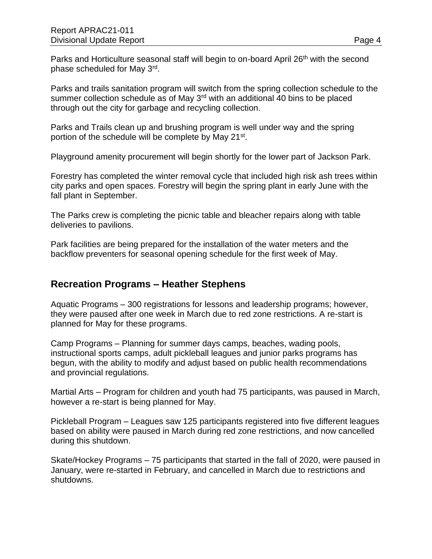Parks and Horticulture seasonal staff will begin to on-board April 26<sup>th</sup> with the second phase scheduled for May 3<sup>rd</sup>.

Parks and trails sanitation program will switch from the spring collection schedule to the summer collection schedule as of May 3<sup>rd</sup> with an additional 40 bins to be placed through out the city for garbage and recycling collection.

Parks and Trails clean up and brushing program is well under way and the spring portion of the schedule will be complete by May 21<sup>st</sup>.

Playground amenity procurement will begin shortly for the lower part of Jackson Park.

Forestry has completed the winter removal cycle that included high risk ash trees within city parks and open spaces. Forestry will begin the spring plant in early June with the fall plant in September.

The Parks crew is completing the picnic table and bleacher repairs along with table deliveries to pavilions.

Park facilities are being prepared for the installation of the water meters and the backflow preventers for seasonal opening schedule for the first week of May.

### **Recreation Programs – Heather Stephens**

Aquatic Programs – 300 registrations for lessons and leadership programs; however, they were paused after one week in March due to red zone restrictions. A re-start is planned for May for these programs.

Camp Programs – Planning for summer days camps, beaches, wading pools, instructional sports camps, adult pickleball leagues and junior parks programs has begun, with the ability to modify and adjust based on public health recommendations and provincial regulations.

Martial Arts – Program for children and youth had 75 participants, was paused in March, however a re-start is being planned for May.

Pickleball Program – Leagues saw 125 participants registered into five different leagues based on ability were paused in March during red zone restrictions, and now cancelled during this shutdown.

Skate/Hockey Programs – 75 participants that started in the fall of 2020, were paused in January, were re-started in February, and cancelled in March due to restrictions and shutdowns.